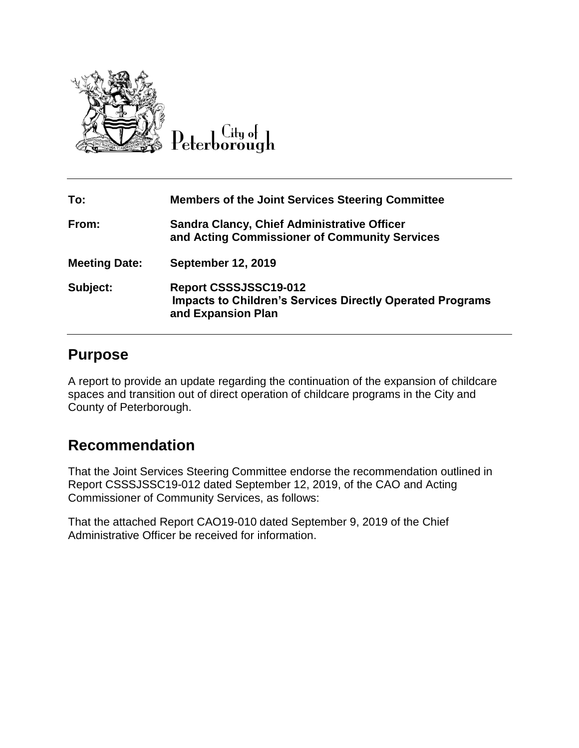

Peterborough

| To:                  | <b>Members of the Joint Services Steering Committee</b>                                                         |
|----------------------|-----------------------------------------------------------------------------------------------------------------|
| From:                | <b>Sandra Clancy, Chief Administrative Officer</b><br>and Acting Commissioner of Community Services             |
| <b>Meeting Date:</b> | <b>September 12, 2019</b>                                                                                       |
| Subject:             | Report CSSSJSSC19-012<br><b>Impacts to Children's Services Directly Operated Programs</b><br>and Expansion Plan |

## **Purpose**

A report to provide an update regarding the continuation of the expansion of childcare spaces and transition out of direct operation of childcare programs in the City and County of Peterborough.

## **Recommendation**

That the Joint Services Steering Committee endorse the recommendation outlined in Report CSSSJSSC19-012 dated September 12, 2019, of the CAO and Acting Commissioner of Community Services, as follows:

That the attached Report CAO19-010 dated September 9, 2019 of the Chief Administrative Officer be received for information.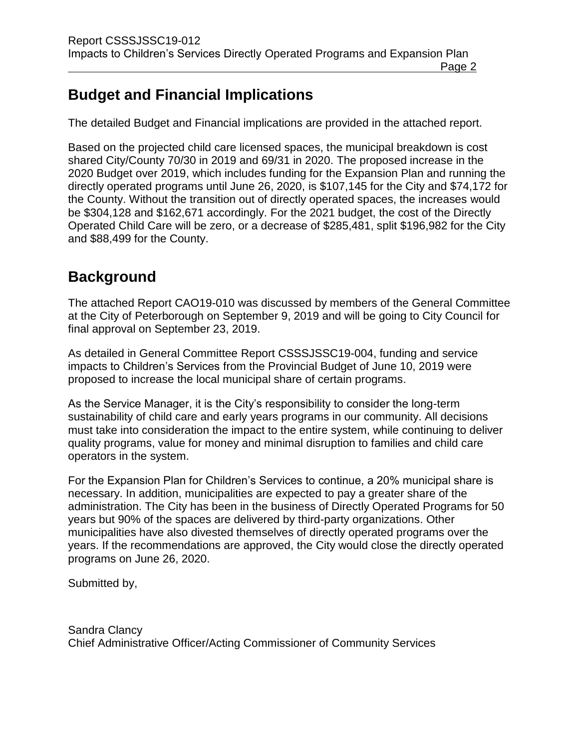## **Budget and Financial Implications**

The detailed Budget and Financial implications are provided in the attached report.

Based on the projected child care licensed spaces, the municipal breakdown is cost shared City/County 70/30 in 2019 and 69/31 in 2020. The proposed increase in the 2020 Budget over 2019, which includes funding for the Expansion Plan and running the directly operated programs until June 26, 2020, is \$107,145 for the City and \$74,172 for the County. Without the transition out of directly operated spaces, the increases would be \$304,128 and \$162,671 accordingly. For the 2021 budget, the cost of the Directly Operated Child Care will be zero, or a decrease of \$285,481, split \$196,982 for the City and \$88,499 for the County.

## **Background**

The attached Report CAO19-010 was discussed by members of the General Committee at the City of Peterborough on September 9, 2019 and will be going to City Council for final approval on September 23, 2019.

As detailed in General Committee Report CSSSJSSC19-004, funding and service impacts to Children's Services from the Provincial Budget of June 10, 2019 were proposed to increase the local municipal share of certain programs.

As the Service Manager, it is the City's responsibility to consider the long-term sustainability of child care and early years programs in our community. All decisions must take into consideration the impact to the entire system, while continuing to deliver quality programs, value for money and minimal disruption to families and child care operators in the system.

For the Expansion Plan for Children's Services to continue, a 20% municipal share is necessary. In addition, municipalities are expected to pay a greater share of the administration. The City has been in the business of Directly Operated Programs for 50 years but 90% of the spaces are delivered by third-party organizations. Other municipalities have also divested themselves of directly operated programs over the years. If the recommendations are approved, the City would close the directly operated programs on June 26, 2020.

Submitted by,